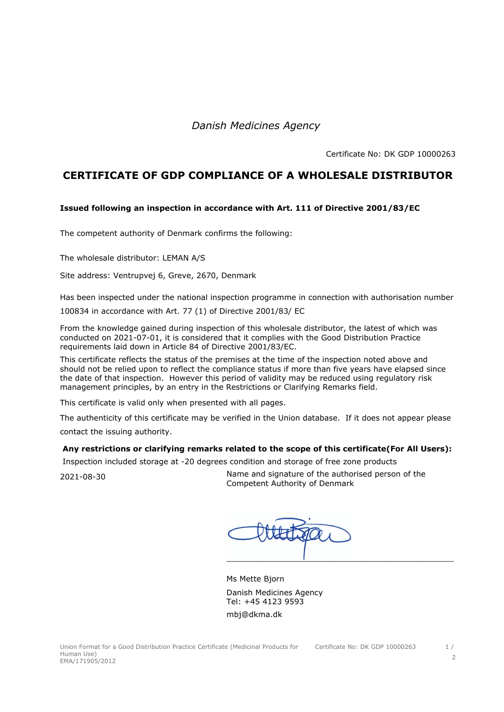*Danish Medicines Agency* 

Certificate No: DK GDP 10000263

## **CERTIFICATE OF GDP COMPLIANCE OF A WHOLESALE DISTRIBUTOR**

## **Issued following an inspection in accordance with Art. 111 of Directive 2001/83/EC**

The competent authority of Denmark confirms the following:

The wholesale distributor: LEMAN A/S

Site address: Ventrupvej 6, Greve, 2670, Denmark

Has been inspected under the national inspection programme in connection with authorisation number

100834 in accordance with Art. 77 (1) of Directive 2001/83/ EC

From the knowledge gained during inspection of this wholesale distributor, the latest of which was conducted on 2021-07-01, it is considered that it complies with the Good Distribution Practice requirements laid down in Article 84 of Directive 2001/83/EC.

This certificate reflects the status of the premises at the time of the inspection noted above and should not be relied upon to reflect the compliance status if more than five years have elapsed since the date of that inspection. However this period of validity may be reduced using regulatory risk management principles, by an entry in the Restrictions or Clarifying Remarks field.

This certificate is valid only when presented with all pages.

The authenticity of this certificate may be verified in the Union database. If it does not appear please contact the issuing authority.

## **Any restrictions or clarifying remarks related to the scope of this certificate(For All Users):**

Inspection included storage at -20 degrees condition and storage of free zone products

2021-08-30 Name and signature of the authorised person of the Competent Authority of Denmark

 $\Box$  . The contract of the contract of the contract of the contract of the contract of the contract of the contract of the contract of the contract of the contract of the contract of the contract of the contract of the co

Ms Mette Bjorn Danish Medicines Agency Tel: +45 4123 9593 mbj@dkma.dk